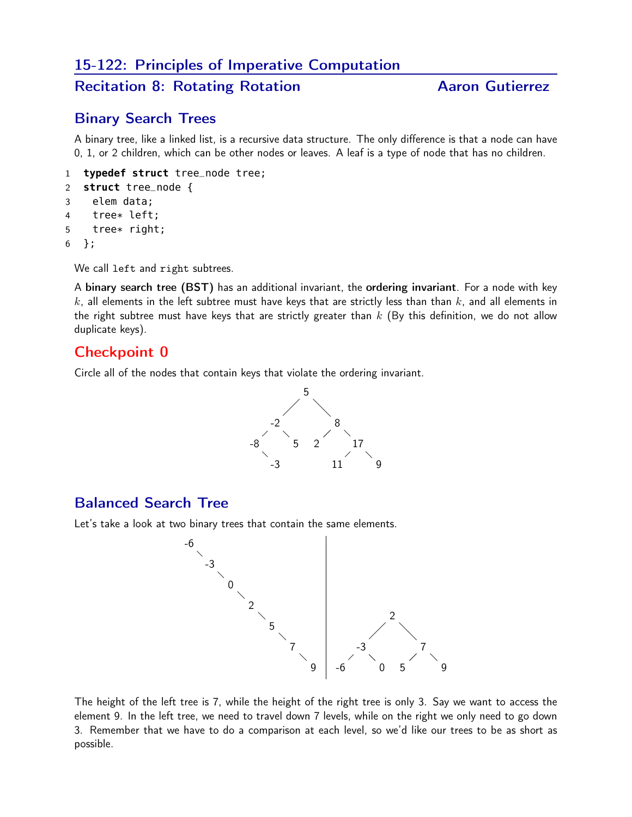## 15-122: Principles of Imperative Computation

## Recitation 8: Rotating Rotation Aaron Gutierrez

### Binary Search Trees

A binary tree, like a linked list, is a recursive data structure. The only difference is that a node can have 0, 1, or 2 children, which can be other nodes or leaves. A leaf is a type of node that has no children.

```
1 typedef struct tree_node tree;
2 struct tree_node {
3 elem data;
4 tree* left;
5 tree* right;
6 };
```
We call left and right subtrees.

A binary search tree (BST) has an additional invariant, the ordering invariant. For a node with key k, all elements in the left subtree must have keys that are strictly less than than  $k$ , and all elements in the right subtree must have keys that are strictly greater than  $k$  (By this definition, we do not allow duplicate keys).

#### Checkpoint 0

Circle all of the nodes that contain keys that violate the ordering invariant.



## Balanced Search Tree

Let's take a look at two binary trees that contain the same elements.



The height of the left tree is 7, while the height of the right tree is only 3. Say we want to access the element 9. In the left tree, we need to travel down 7 levels, while on the right we only need to go down 3. Remember that we have to do a comparison at each level, so we'd like our trees to be as short as possible.